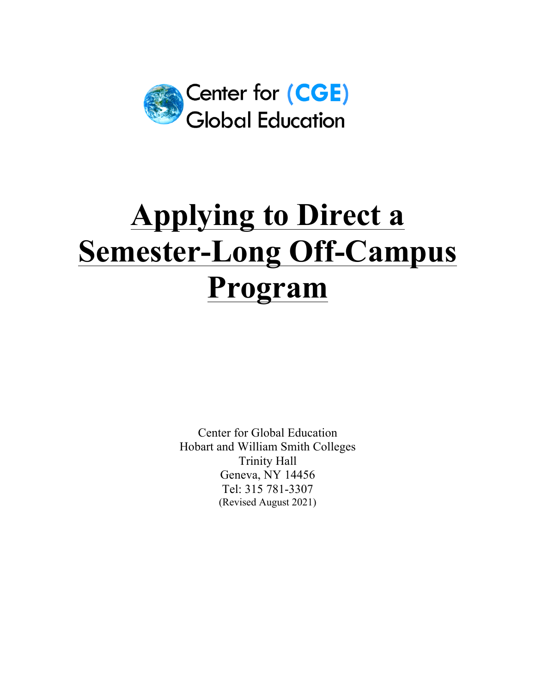

# **Applying to Direct a Semester-Long Off-Campus Program**

Center for Global Education Hobart and William Smith Colleges Trinity Hall Geneva, NY 14456 Tel: 315 781-3307 (Revised August 2021)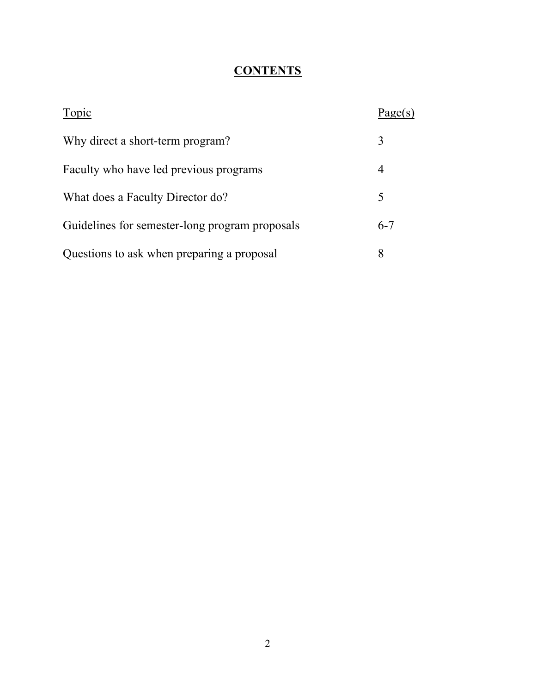## **CONTENTS**

| Topic                                          | Page(s) |
|------------------------------------------------|---------|
| Why direct a short-term program?               | 3       |
| Faculty who have led previous programs         | 4       |
| What does a Faculty Director do?               | 5       |
| Guidelines for semester-long program proposals | $6 - 7$ |
| Questions to ask when preparing a proposal     | 8       |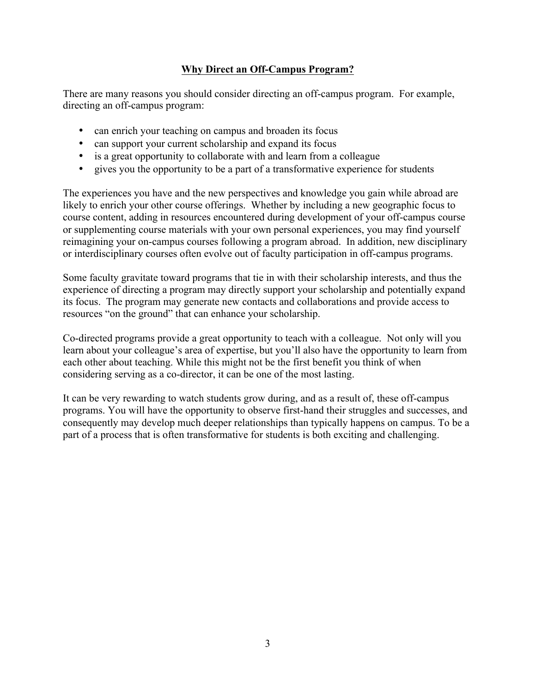### **Why Direct an Off-Campus Program?**

There are many reasons you should consider directing an off-campus program. For example, directing an off-campus program:

- can enrich your teaching on campus and broaden its focus
- can support your current scholarship and expand its focus
- is a great opportunity to collaborate with and learn from a colleague
- gives you the opportunity to be a part of a transformative experience for students

The experiences you have and the new perspectives and knowledge you gain while abroad are likely to enrich your other course offerings. Whether by including a new geographic focus to course content, adding in resources encountered during development of your off-campus course or supplementing course materials with your own personal experiences, you may find yourself reimagining your on-campus courses following a program abroad. In addition, new disciplinary or interdisciplinary courses often evolve out of faculty participation in off-campus programs.

Some faculty gravitate toward programs that tie in with their scholarship interests, and thus the experience of directing a program may directly support your scholarship and potentially expand its focus. The program may generate new contacts and collaborations and provide access to resources "on the ground" that can enhance your scholarship.

Co-directed programs provide a great opportunity to teach with a colleague. Not only will you learn about your colleague's area of expertise, but you'll also have the opportunity to learn from each other about teaching. While this might not be the first benefit you think of when considering serving as a co-director, it can be one of the most lasting.

It can be very rewarding to watch students grow during, and as a result of, these off-campus programs. You will have the opportunity to observe first-hand their struggles and successes, and consequently may develop much deeper relationships than typically happens on campus. To be a part of a process that is often transformative for students is both exciting and challenging.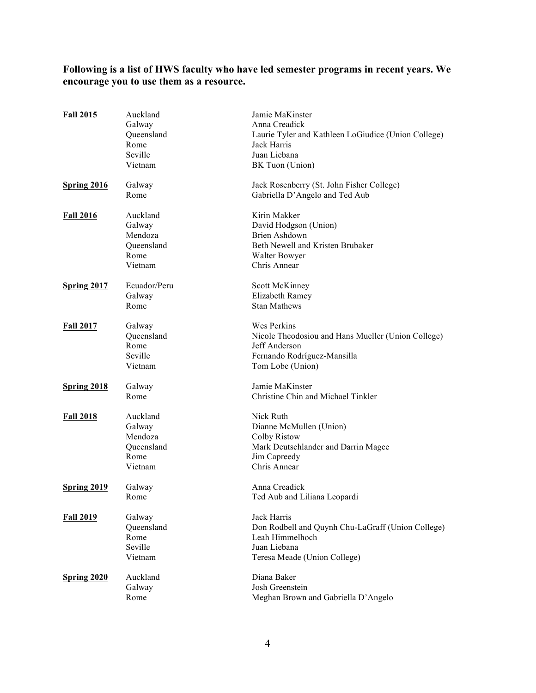#### **Following is a list of HWS faculty who have led semester programs in recent years. We encourage you to use them as a resource.**

| <b>Fall 2015</b>   | Auckland<br>Galway<br>Queensland<br>Rome<br>Seville<br>Vietnam | Jamie MaKinster<br>Anna Creadick<br>Laurie Tyler and Kathleen LoGiudice (Union College)<br>Jack Harris<br>Juan Liebana<br>BK Tuon (Union) |
|--------------------|----------------------------------------------------------------|-------------------------------------------------------------------------------------------------------------------------------------------|
| <b>Spring 2016</b> | Galway<br>Rome                                                 | Jack Rosenberry (St. John Fisher College)<br>Gabriella D'Angelo and Ted Aub                                                               |
| <b>Fall 2016</b>   | Auckland<br>Galway<br>Mendoza<br>Queensland<br>Rome<br>Vietnam | Kirin Makker<br>David Hodgson (Union)<br><b>Brien Ashdown</b><br>Beth Newell and Kristen Brubaker<br>Walter Bowyer<br>Chris Annear        |
| Spring 2017        | Ecuador/Peru<br>Galway<br>Rome                                 | Scott McKinney<br>Elizabeth Ramey<br><b>Stan Mathews</b>                                                                                  |
| <b>Fall 2017</b>   | Galway<br>Queensland<br>Rome<br>Seville<br>Vietnam             | Wes Perkins<br>Nicole Theodosiou and Hans Mueller (Union College)<br>Jeff Anderson<br>Fernando Rodríguez-Mansilla<br>Tom Lobe (Union)     |
| Spring 2018        | Galway<br>Rome                                                 | Jamie MaKinster<br>Christine Chin and Michael Tinkler                                                                                     |
| <b>Fall 2018</b>   | Auckland<br>Galway<br>Mendoza<br>Queensland<br>Rome<br>Vietnam | Nick Ruth<br>Dianne McMullen (Union)<br>Colby Ristow<br>Mark Deutschlander and Darrin Magee<br>Jim Capreedy<br>Chris Annear               |
| Spring 2019        | Galway<br>Rome                                                 | Anna Creadick<br>Ted Aub and Liliana Leopardi                                                                                             |
| <b>Fall 2019</b>   | Galway<br>Queensland<br>Rome<br>Seville<br>Vietnam             | Jack Harris<br>Don Rodbell and Quynh Chu-LaGraff (Union College)<br>Leah Himmelhoch<br>Juan Liebana<br>Teresa Meade (Union College)       |
| Spring 2020        | Auckland<br>Galway<br>Rome                                     | Diana Baker<br>Josh Greenstein<br>Meghan Brown and Gabriella D'Angelo                                                                     |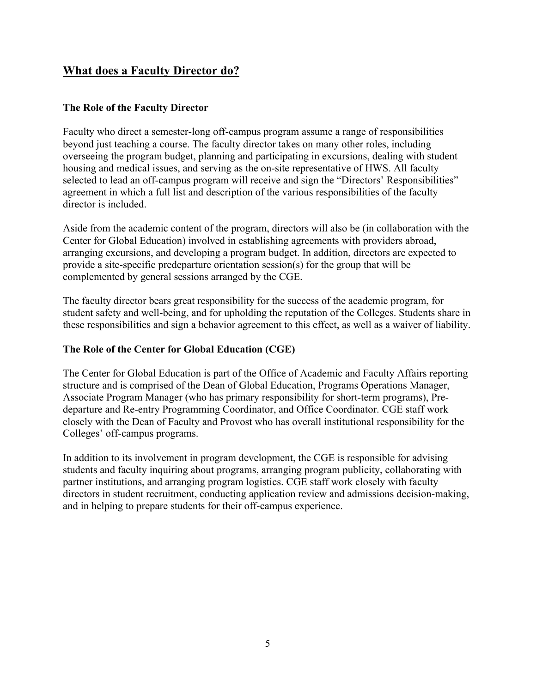## **What does a Faculty Director do?**

#### **The Role of the Faculty Director**

Faculty who direct a semester-long off-campus program assume a range of responsibilities beyond just teaching a course. The faculty director takes on many other roles, including overseeing the program budget, planning and participating in excursions, dealing with student housing and medical issues, and serving as the on-site representative of HWS. All faculty selected to lead an off-campus program will receive and sign the "Directors' Responsibilities" agreement in which a full list and description of the various responsibilities of the faculty director is included.

Aside from the academic content of the program, directors will also be (in collaboration with the Center for Global Education) involved in establishing agreements with providers abroad, arranging excursions, and developing a program budget. In addition, directors are expected to provide a site-specific predeparture orientation session(s) for the group that will be complemented by general sessions arranged by the CGE.

The faculty director bears great responsibility for the success of the academic program, for student safety and well-being, and for upholding the reputation of the Colleges. Students share in these responsibilities and sign a behavior agreement to this effect, as well as a waiver of liability.

#### **The Role of the Center for Global Education (CGE)**

The Center for Global Education is part of the Office of Academic and Faculty Affairs reporting structure and is comprised of the Dean of Global Education, Programs Operations Manager, Associate Program Manager (who has primary responsibility for short-term programs), Predeparture and Re-entry Programming Coordinator, and Office Coordinator. CGE staff work closely with the Dean of Faculty and Provost who has overall institutional responsibility for the Colleges' off-campus programs.

In addition to its involvement in program development, the CGE is responsible for advising students and faculty inquiring about programs, arranging program publicity, collaborating with partner institutions, and arranging program logistics. CGE staff work closely with faculty directors in student recruitment, conducting application review and admissions decision-making, and in helping to prepare students for their off-campus experience.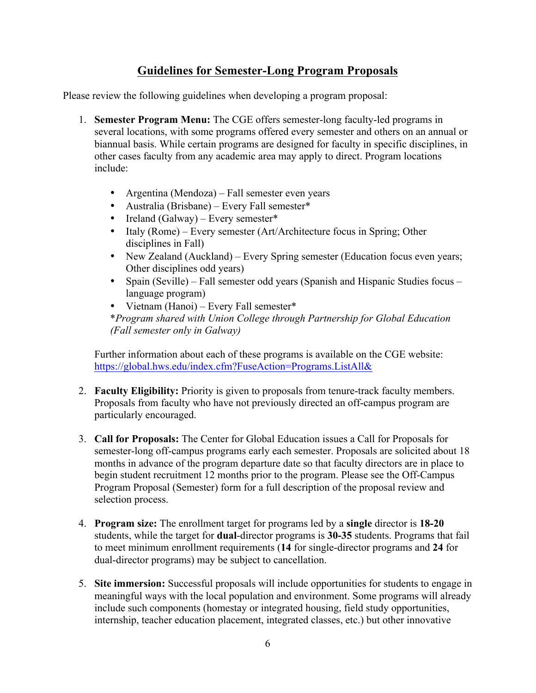## **Guidelines for Semester-Long Program Proposals**

Please review the following guidelines when developing a program proposal:

- 1. **Semester Program Menu:** The CGE offers semester-long faculty-led programs in several locations, with some programs offered every semester and others on an annual or biannual basis. While certain programs are designed for faculty in specific disciplines, in other cases faculty from any academic area may apply to direct. Program locations include:
	- Argentina (Mendoza) Fall semester even years
	- Australia (Brisbane) Every Fall semester\*
	- Ireland (Galway) Every semester\*
	- Italy (Rome) Every semester (Art/Architecture focus in Spring; Other disciplines in Fall)
	- New Zealand (Auckland) Every Spring semester (Education focus even years; Other disciplines odd years)
	- Spain (Seville) Fall semester odd years (Spanish and Hispanic Studies focus language program)
	- Vietnam (Hanoi) Every Fall semester\* \**Program shared with Union College through Partnership for Global Education (Fall semester only in Galway)*

Further information about each of these programs is available on the CGE website: https://global.hws.edu/index.cfm?FuseAction=Programs.ListAll&

- 2. **Faculty Eligibility:** Priority is given to proposals from tenure-track faculty members. Proposals from faculty who have not previously directed an off-campus program are particularly encouraged.
- 3. **Call for Proposals:** The Center for Global Education issues a Call for Proposals for semester-long off-campus programs early each semester. Proposals are solicited about 18 months in advance of the program departure date so that faculty directors are in place to begin student recruitment 12 months prior to the program. Please see the Off-Campus Program Proposal (Semester) form for a full description of the proposal review and selection process.
- 4. **Program size:** The enrollment target for programs led by a **single** director is **18-20** students, while the target for **dual**-director programs is **30-35** students. Programs that fail to meet minimum enrollment requirements (**14** for single-director programs and **24** for dual-director programs) may be subject to cancellation.
- 5. **Site immersion:** Successful proposals will include opportunities for students to engage in meaningful ways with the local population and environment. Some programs will already include such components (homestay or integrated housing, field study opportunities, internship, teacher education placement, integrated classes, etc.) but other innovative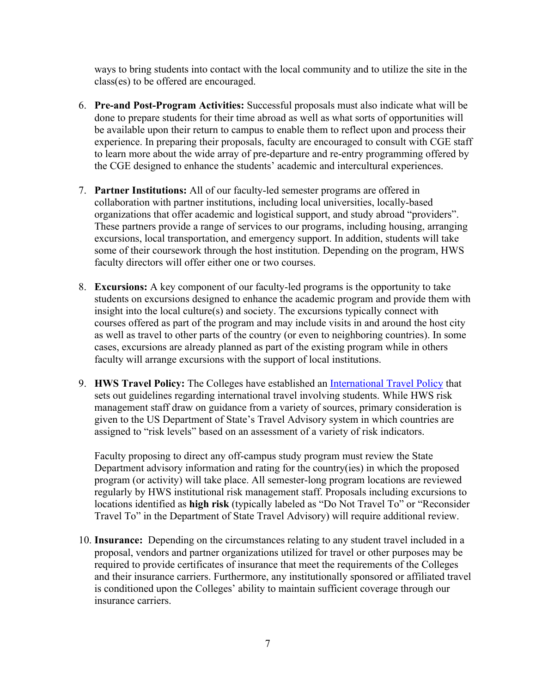ways to bring students into contact with the local community and to utilize the site in the class(es) to be offered are encouraged.

- 6. **Pre-and Post-Program Activities:** Successful proposals must also indicate what will be done to prepare students for their time abroad as well as what sorts of opportunities will be available upon their return to campus to enable them to reflect upon and process their experience. In preparing their proposals, faculty are encouraged to consult with CGE staff to learn more about the wide array of pre-departure and re-entry programming offered by the CGE designed to enhance the students' academic and intercultural experiences.
- 7. **Partner Institutions:** All of our faculty-led semester programs are offered in collaboration with partner institutions, including local universities, locally-based organizations that offer academic and logistical support, and study abroad "providers". These partners provide a range of services to our programs, including housing, arranging excursions, local transportation, and emergency support. In addition, students will take some of their coursework through the host institution. Depending on the program, HWS faculty directors will offer either one or two courses.
- 8. **Excursions:** A key component of our faculty-led programs is the opportunity to take students on excursions designed to enhance the academic program and provide them with insight into the local culture(s) and society. The excursions typically connect with courses offered as part of the program and may include visits in and around the host city as well as travel to other parts of the country (or even to neighboring countries). In some cases, excursions are already planned as part of the existing program while in others faculty will arrange excursions with the support of local institutions.
- 9. **HWS Travel Policy:** The Colleges have established an International Travel Policy that sets out guidelines regarding international travel involving students. While HWS risk management staff draw on guidance from a variety of sources, primary consideration is given to the US Department of State's Travel Advisory system in which countries are assigned to "risk levels" based on an assessment of a variety of risk indicators.

Faculty proposing to direct any off-campus study program must review the State Department advisory information and rating for the country(ies) in which the proposed program (or activity) will take place. All semester-long program locations are reviewed regularly by HWS institutional risk management staff. Proposals including excursions to locations identified as **high risk** (typically labeled as "Do Not Travel To" or "Reconsider Travel To" in the Department of State Travel Advisory) will require additional review.

10. **Insurance:** Depending on the circumstances relating to any student travel included in a proposal, vendors and partner organizations utilized for travel or other purposes may be required to provide certificates of insurance that meet the requirements of the Colleges and their insurance carriers. Furthermore, any institutionally sponsored or affiliated travel is conditioned upon the Colleges' ability to maintain sufficient coverage through our insurance carriers.